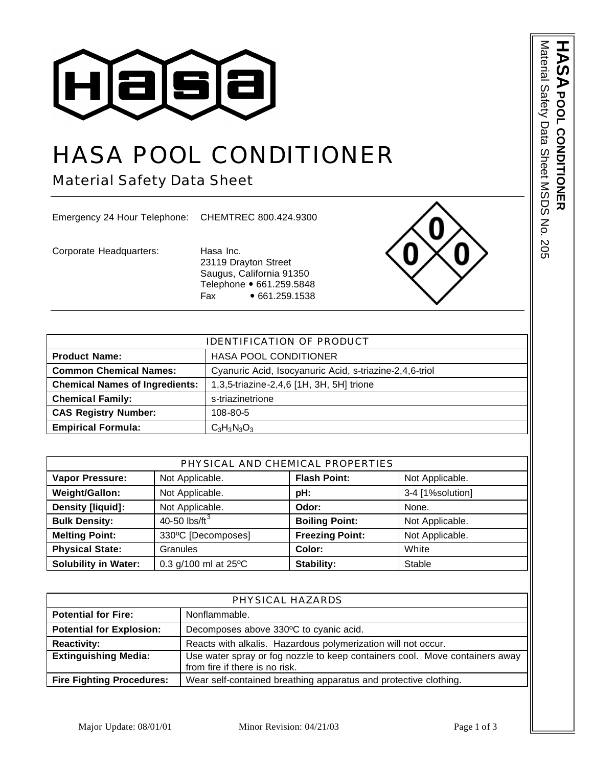

## HASA POOL CONDITIONER

Material Safety Data Sheet

Emergency 24 Hour Telephone: CHEMTREC 800.424.9300

Corporate Headquarters: Hasa Inc.

23119 Drayton Street Saugus, California 91350 Telephone • 661.259.5848 Fax • 661.259.1538



| <b>IDENTIFICATION OF PRODUCT</b>      |                                                         |  |
|---------------------------------------|---------------------------------------------------------|--|
| <b>Product Name:</b>                  | <b>HASA POOL CONDITIONER</b>                            |  |
| <b>Common Chemical Names:</b>         | Cyanuric Acid, Isocyanuric Acid, s-triazine-2,4,6-triol |  |
| <b>Chemical Names of Ingredients:</b> | 1,3,5-triazine-2,4,6 [1H, 3H, 5H] trione                |  |
| <b>Chemical Family:</b>               | s-triazinetrione                                        |  |
| <b>CAS Registry Number:</b>           | 108-80-5                                                |  |
| <b>Empirical Formula:</b>             | $C_3H_3N_3O_3$                                          |  |

| PHYSICAL AND CHEMICAL PROPERTIES |                         |                        |                  |
|----------------------------------|-------------------------|------------------------|------------------|
| <b>Vapor Pressure:</b>           | Not Applicable.         | <b>Flash Point:</b>    | Not Applicable.  |
| Weight/Gallon:                   | Not Applicable.         | pH:                    | 3-4 [1%solution] |
| Density [liquid]:                | Not Applicable.         | Odor:                  | None.            |
| <b>Bulk Density:</b>             | 40-50 $\text{lbs/ft}^3$ | <b>Boiling Point:</b>  | Not Applicable.  |
| <b>Melting Point:</b>            | 330°C [Decomposes]      | <b>Freezing Point:</b> | Not Applicable.  |
| <b>Physical State:</b>           | Granules                | Color:                 | White            |
| <b>Solubility in Water:</b>      | 0.3 g/100 ml at 25°C    | Stability:             | Stable           |

| PHYSICAL HAZARDS                 |                                                                                                               |
|----------------------------------|---------------------------------------------------------------------------------------------------------------|
| <b>Potential for Fire:</b>       | Nonflammable.                                                                                                 |
| <b>Potential for Explosion:</b>  | Decomposes above 330°C to cyanic acid.                                                                        |
| <b>Reactivity:</b>               | Reacts with alkalis. Hazardous polymerization will not occur.                                                 |
| <b>Extinguishing Media:</b>      | Use water spray or fog nozzle to keep containers cool. Move containers away<br>from fire if there is no risk. |
| <b>Fire Fighting Procedures:</b> | Wear self-contained breathing apparatus and protective clothing.                                              |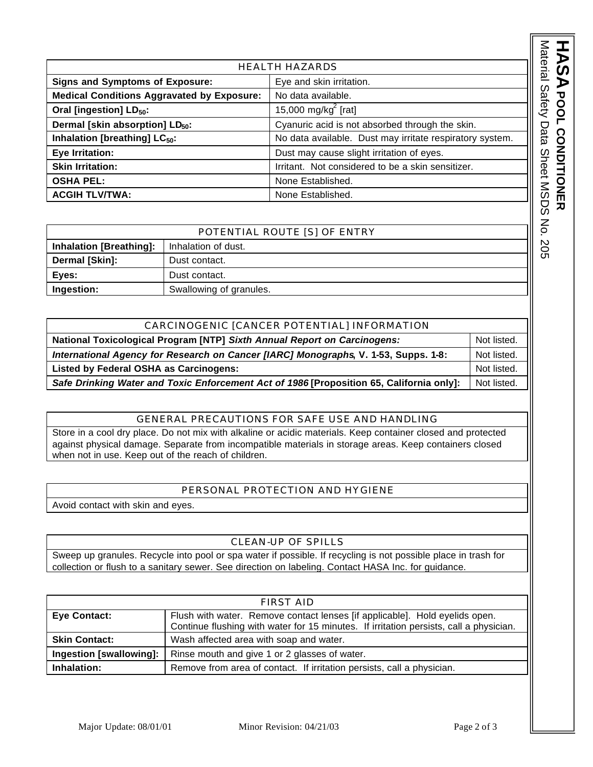HEALTH HAZARDS **Signs and Symptoms of Exposure:** Eye and skin irritation. **Medical Conditions Aggravated by Exposure:** No data available. **Oral [ingestion] LD<sub>50</sub>:** 15,000 mg/kg $^{2}$  [rat] **Dermal [skin absorption] LD**<sub>50</sub>: Cyanuric acid is not absorbed through the skin. **Inhalation [breathing] LC**<sub>50</sub>:  $\vert$  No data available. Dust may irritate respiratory system. **Eye Irritation: Eye Irritation: Eye Irritation of eyes.** Dust may cause slight irritation of eyes. **Skin Irritation:** Integral of the Integral Limitant. Not considered to be a skin sensitizer. **OSHA PEL:** None Established. **ACGIH TLV/TWA:** None Established.

| POTENTIAL ROUTE [S] OF ENTRY   |                         |
|--------------------------------|-------------------------|
| <b>Inhalation [Breathing]:</b> | Inhalation of dust.     |
| Dermal [Skin]:                 | Dust contact.           |
| Eves:                          | Dust contact.           |
| Ingestion:                     | Swallowing of granules. |

| CARCINOGENIC [CANCER POTENTIAL] INFORMATION                                              |             |
|------------------------------------------------------------------------------------------|-------------|
| National Toxicological Program [NTP] Sixth Annual Report on Carcinogens:                 | Not listed. |
| International Agency for Research on Cancer [IARC] Monographs, V. 1-53, Supps. 1-8:      |             |
| <b>Listed by Federal OSHA as Carcinogens:</b>                                            | Not listed. |
| Safe Drinking Water and Toxic Enforcement Act of 1986 [Proposition 65, California only]: | Not listed. |

## GENERAL PRECAUTIONS FOR SAFE USE AND HANDLING

Store in a cool dry place. Do not mix with alkaline or acidic materials. Keep container closed and protected against physical damage. Separate from incompatible materials in storage areas. Keep containers closed when not in use. Keep out of the reach of children.

## PERSONAL PROTECTION AND HYGIENE

Avoid contact with skin and eyes.

## CLEAN-UP OF SPILLS

Sweep up granules. Recycle into pool or spa water if possible. If recycling is not possible place in trash for collection or flush to a sanitary sewer. See direction on labeling. Contact HASA Inc. for guidance.

| FIRST AID               |                                                                                                                                                                       |  |
|-------------------------|-----------------------------------------------------------------------------------------------------------------------------------------------------------------------|--|
| <b>Eye Contact:</b>     | Flush with water. Remove contact lenses [if applicable]. Hold eyelids open.<br>Continue flushing with water for 15 minutes. If irritation persists, call a physician. |  |
|                         |                                                                                                                                                                       |  |
| <b>Skin Contact:</b>    | Wash affected area with soap and water.                                                                                                                               |  |
| Ingestion [swallowing]: | Rinse mouth and give 1 or 2 glasses of water.                                                                                                                         |  |
| Inhalation:             | Remove from area of contact. If irritation persists, call a physician.                                                                                                |  |

**ASA** POOL CONDITIONER

**POOL CONDITIONER** Material Safety Data Sheet MSDS No. 205

Material Safety Data Sheet MSDS No. 205